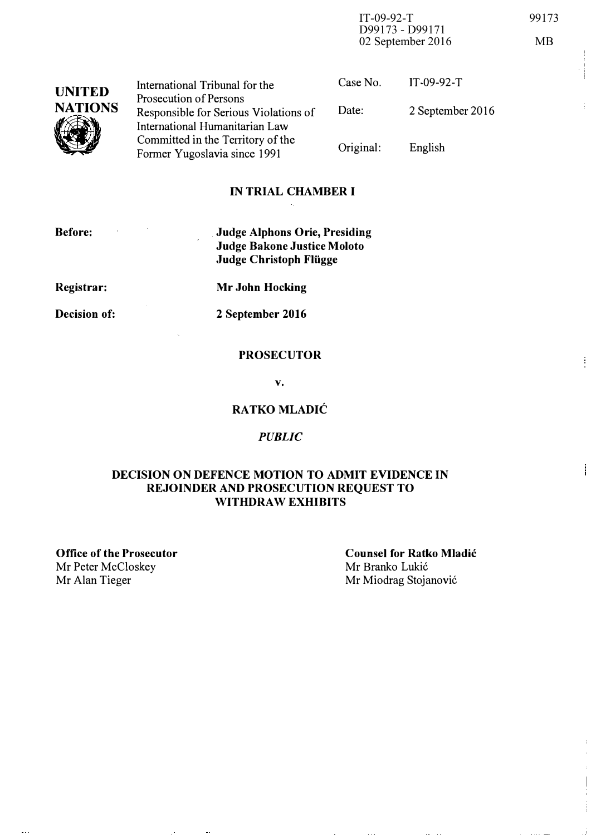IT-09-92-T 99173 D99173 - D99171 02 September 2016 MB

UNITED NATIONS  $\sum_{i=1}^{n}$ International Tribunal for the Prosecution of Persons Responsible for Serious Violations of International Humanitarian Law Committed in the Territory of the Former Yugoslavia since 1991 Case No. Date: Original: IT-09-92-T 2 September 2016 English

### IN TRIAL CHAMBER I

Before:

Judge AIphons Orie, Presiding Judge Bakone Justice Moloto Judge Christoph Fliigge

Registrar:

Mr John Hocking

Decision of:

2 September 2016

v.

#### RATKO MLADIĆ

#### PUBLIC

#### DECISION ON DEFENCE MOTION TO ADMIT EVIDENCE IN REJOINDER AND PROSECUTION REQUEST TO WITHDRAW EXHIBITS

Office of the Prosecutor Mr Peter McCloskey Mr Alan Tieger

Counsel for Ratko MIadic Mr Branko Lukić Mr Miodrag Stojanović

# **PROSECUTOR**

 $\frac{1}{2}$ 

i.

 $\frac{1}{2}$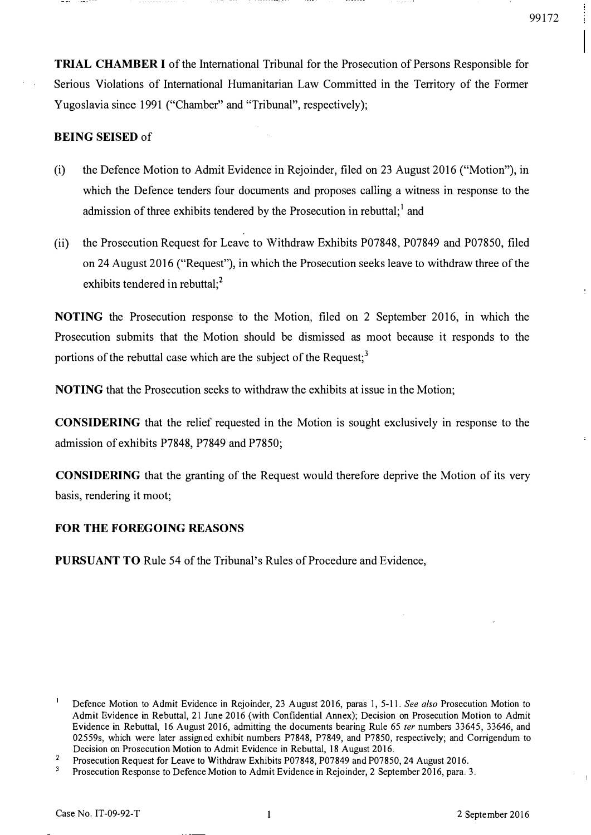TRIAL CHAMBER I of the International Tribunal for the Prosecution of Persons Responsible for Serious Violations of International Humanitarian Law Committed in the Territory of the Former Yugoslavia since 1991 ("Chamber" and "Tribunal", respectively);

#### BEING SEISED of

- (i) the Defence Motion to Admit Evidence in Rejoinder, filed on 23 August 2016 ("Motion"), in which the Defence tenders four documents and proposes calling a witness in response to the admission of three exhibits tendered by the Prosecution in rebuttal;  $\frac{1}{1}$  and
- (ii) the Prosecution Request for Leave to Withdraw Exhibits P07848, P07849 and P07850, filed on 24 August 2016 ("Request"), in which the Prosecution seeks leave to withdraw three of the exhibits tendered in rebuttal;<sup>2</sup>

NOTING the Prosecution response to the Motion, filed on 2 September 2016, in which the Prosecution submits that the Motion should be dismissed as moot because it responds to the portions of the rebuttal case which are the subject of the Request; $<sup>3</sup>$ </sup>

NOTING that the Prosecution seeks to withdraw the exhibits at issue in the Motion;

CONSIDERING that the relief requested in the Motion is sought exclusively in response to the admission of exhibits P7848, P7849 and P7850;

CONSIDERING that the granting of the Request would therefore deprive the Motion of its very basis, rendering it moot;

#### FOR THE FOREGOING REASONS

PURSUANT TO Rule 54 of the Tribunal's Rules of Procedure and Evidence,

Defence Motion to Admit Evidence in Rejoinder, 23 August 2016, paras 1, 5-11. See also Prosecution Motion to Admit Evidence in Rebuttal, 21 June 2016 (with Confidential Annex); Decision on Prosecution Motion to Admit Evidence in Rebuttal, 16 August 2016, admitting the documents bearing Rule 65 ter numbers 33645, 33646, and 02559s, which were later assigned exhibit numbers P7848, P7849, and P7850, respectively; and Corrigendum to Decision on Prosecution Motion to Admit Evidence in Rebuttal, 18 August 2016.

 $\mathbf{2}^-$ Prosecution Request for Leave to Withdraw Exhibits P07848, P07849 and P07850, 24 August 2016.

 $\mathbf 3$ Prosecution Response to Defence Motion to Admit Evidence in Rejoinder, 2 September 2016, para. 3.